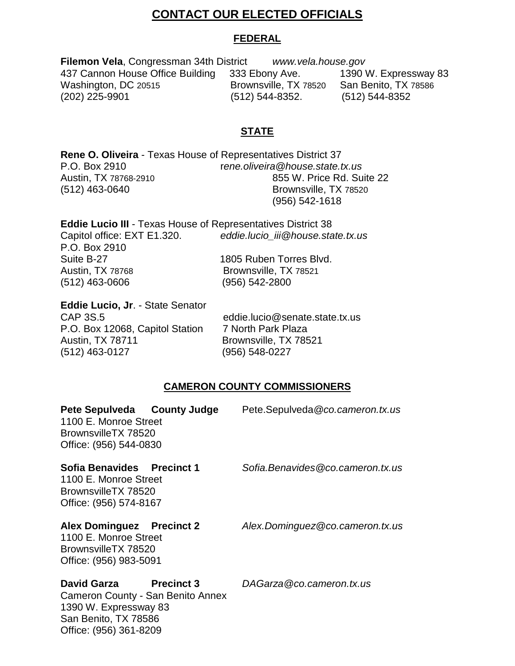## **CONTACT OUR ELECTED OFFICIALS**

#### **FEDERAL**

**Filemon Vela**, Congressman 34th District *www.vela.house.gov* 437 Cannon House Office Building 333 Ebony Ave. 1390 W. Expressway 83 Washington, DC 20515 **Brownsville, TX 78520** San Benito, TX 78586 (202) 225-9901 (512) 544-8352. (512) 544-8352

## **STATE**

**Rene O. Oliveira** - Texas House of Representatives District 37 P.O. Box 2910 r*ene.oliveira@house.state.tx.us* Austin, TX 78768-2910 855 W. Price Rd. Suite 22 (512) 463-0640 Brownsville, TX 78520 (956) 542-1618

| <b>Eddie Lucio III - Texas House of Representatives District 38</b> |                                   |  |
|---------------------------------------------------------------------|-----------------------------------|--|
| Capitol office: EXT E1.320.                                         | eddie.lucio iii@house.state.tx.us |  |
| P.O. Box 2910                                                       |                                   |  |
| Suite B-27                                                          | 1805 Ruben Torres Blvd.           |  |
| Austin, TX 78768                                                    | Brownsville, TX 78521             |  |
| $(512)$ 463-0606                                                    | (956) 542-2800                    |  |
|                                                                     |                                   |  |

**Eddie Lucio, Jr**. - State Senator P.O. Box 12068, Capitol Station 7 North Park Plaza Austin, TX 78711 Brownsville, TX 78521 (512) 463-0127 (956) 548-0227

Office: (956) 361-8209

eddie.lucio@senate.state.tx.us

#### **CAMERON COUNTY COMMISSIONERS**

| Pete Sepulveda County Judge<br>1100 E. Monroe Street<br>BrownsvilleTX 78520<br>Office: (956) 544-0830      |                   | Pete.Sepulveda @co.cameron.tx.us |
|------------------------------------------------------------------------------------------------------------|-------------------|----------------------------------|
| Sofia Benavides Precinct 1<br>1100 E. Monroe Street<br>BrownsvilleTX 78520<br>Office: (956) 574-8167       |                   | Sofia.Benavides@co.cameron.tx.us |
| <b>Alex Dominguez</b> Precinct 2<br>1100 E. Monroe Street<br>BrownsvilleTX 78520<br>Office: (956) 983-5091 |                   | Alex.Dominguez@co.cameron.tx.us  |
| David Garza<br>Cameron County - San Benito Annex<br>1390 W. Expressway 83<br>San Benito, TX 78586          | <b>Precinct 3</b> | DAGarza@co.cameron.tx.us         |